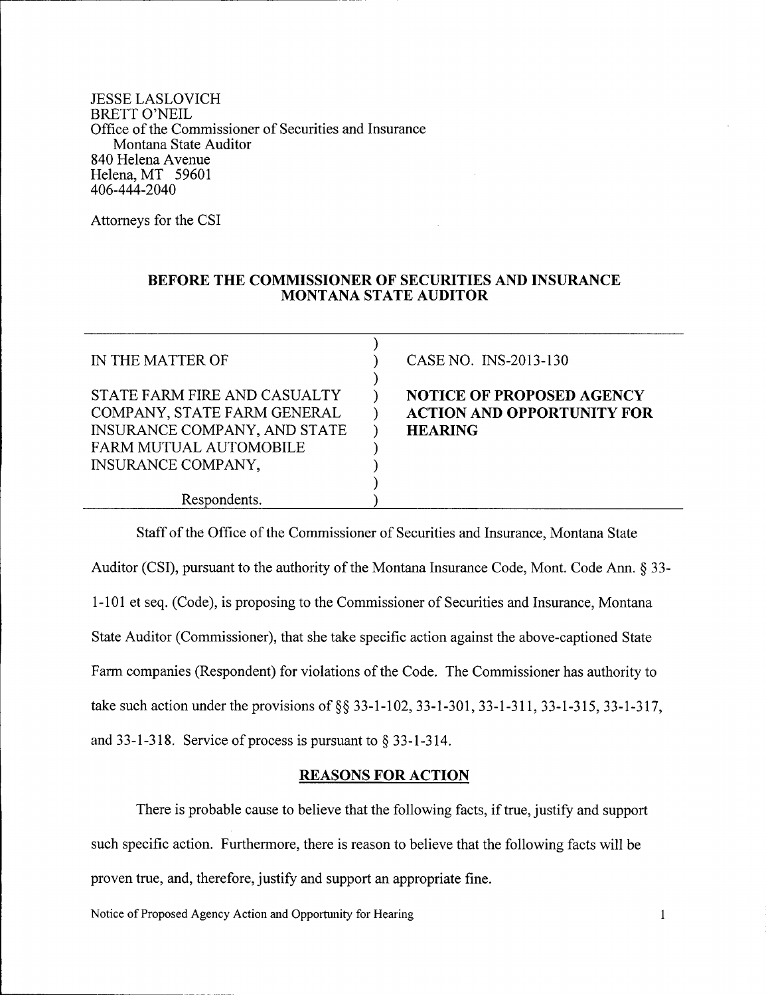JESSE LASLOVICH BRETT O'NEIL Office of the Commissioner of Securities and Insurance Montana State Auditor 840 Helena Avenue Helena, MT 59601 406-444- 2040

Attorneys for the CSI

# **BEFORE THE COMMISSIONER OF SECURITIES AND INSURANCE MONTANA STATE AUDITOR**

| IN THE MATTER OF                                                                                                                                   | CASE NO. INS-2013-130                                                                   |
|----------------------------------------------------------------------------------------------------------------------------------------------------|-----------------------------------------------------------------------------------------|
| STATE FARM FIRE AND CASUALTY<br>COMPANY, STATE FARM GENERAL<br>INSURANCE COMPANY, AND STATE<br>FARM MUTUAL AUTOMOBILE<br><b>INSURANCE COMPANY,</b> | <b>NOTICE OF PROPOSED AGENCY</b><br><b>ACTION AND OPPORTUNITY FOR</b><br><b>HEARING</b> |
| Respondents.                                                                                                                                       |                                                                                         |

Staff of the Office of the Commissioner of Securities and Insurance, Montana State Auditor (CSI), pursuant to the authority of the Montana Insurance Code, Mont. Code Ann. § 33-1-101 et seq. (Code), is proposing to the Commissioner of Securities and Insurance, Montana State Auditor (Commissioner), that she take specific action against the above-captioned State Farm companies (Respondent) for violations of the Code. The Commissioner has authority to take such action under the provisions of §§ 33-1-102, 33-1-301, 33-1-311, 33-1-315, 33-1-317, and 33-1-318. Service of process is pursuant to  $\S$  33-1-314.

# **REASONS FOR ACTION**

There is probable cause to believe that the following facts, if true, justify and support such specific action. Furthermore, there is reason to believe that the following facts will be proven true, and, therefore, justify and support an appropriate fine.

Notice of Proposed Agency Action and Opportunity for Hearing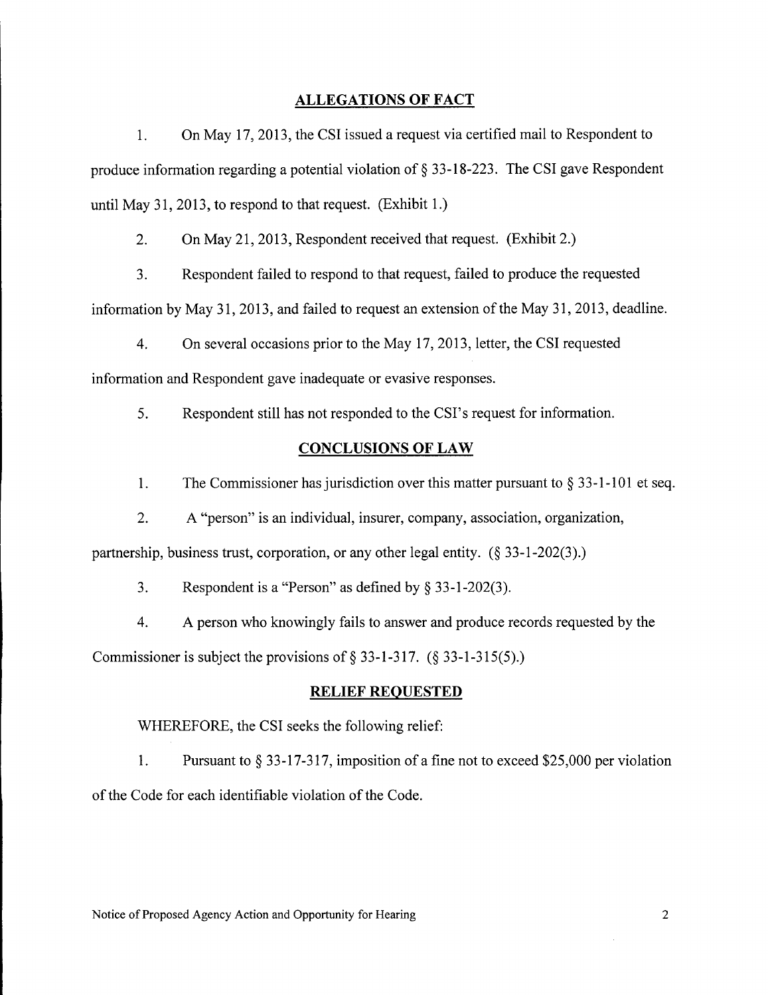# **ALLEGATIONS OF FACT**

1. On May 17,2013, the CSI issued a request via certified mail to Respondent to produce information regarding a potential violation of § 33-18-223. The CSI gave Respondent until May 31, 2013, to respond to that request. (Exhibit 1.)

2. On May 21, 2013, Respondent received that request. (Exhibit 2.)

3. Respondent failed to respond to that request, failed to produce the requested

information by May 31, 2013, and failed to request an extension of the May 31, 2013, deadline.

4. On several occasions prior to the May 17,2013, letter, the CSI requested information and Respondent gave inadequate or evasive responses.

5. Respondent still has not responded to the CSI's request for information.

# **CONCLUSIONS OF LAW**

1. The Commissioner has jurisdiction over this matter pursuant to  $\S 33$ -1-101 et seq.

2. A "person" is an individual, insurer, company, association, organization,

partnership, business trust, corporation, or any other legal entity.  $(\S 33-1-202(3))$ .

3. Respondent is a "Person" as defined by S 33-1-202(3).

4. A person who knowingly fails to answer and produce records requested by the Commissioner is subject the provisions of  $\S$  33-1-317. ( $\S$  33-1-315(5).)

# ~RELIEF**REQUESTED**

WHEREFORE, the CSI seeks the following relief:

1. Pursuant to  $\S 33-17-317$ , imposition of a fine not to exceed \$25,000 per violation of the Code for each identifiable violation of the Code.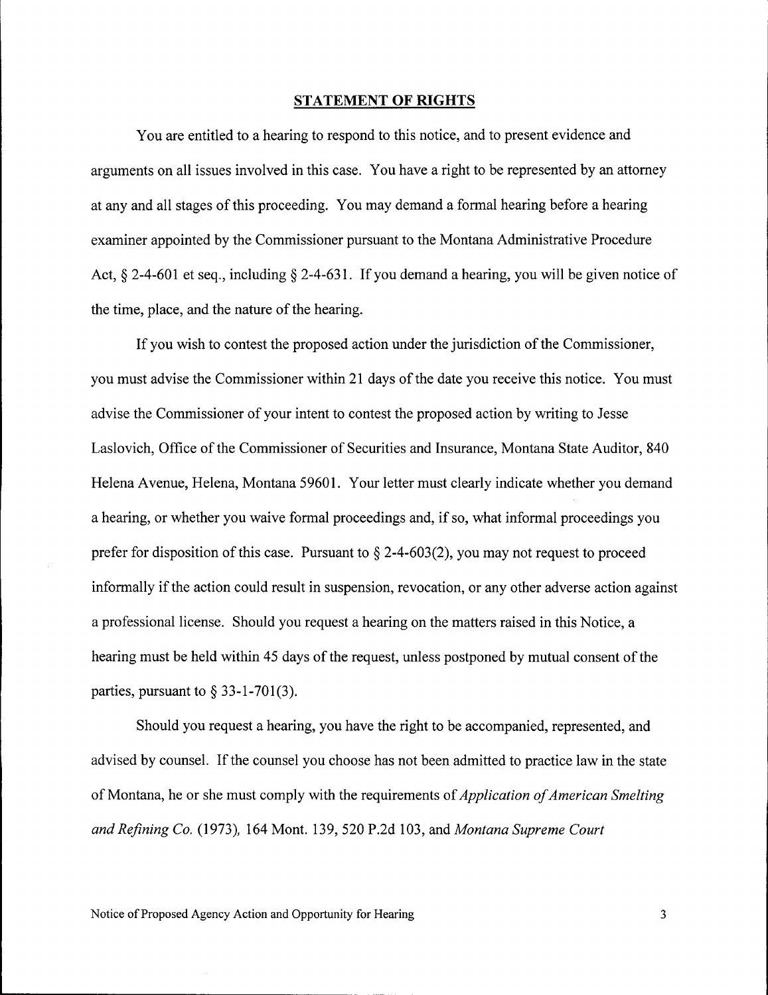#### **STATEMENT OF RIGHTS**

You are entitled to a hearing to respond to this notice, and to present evidence and arguments on all issues involved in this case. You have a right to be represented by an attorney at any and all stages of this proceeding. You may demand a formal hearing before a hearing examiner appointed by the Commissioner pursuant to the Montana Administrative Procedure Act,  $\&$  2-4-601 et seq., including  $\&$  2-4-631. If you demand a hearing, you will be given notice of the time, place, and the nature of the hearing.

If you wish to contest the proposed action under the jurisdiction of the Commissioner, you must advise the Commissioner within 21 days of the date you receive this notice. You must advise the Commissioner of your intent to contest the proposed action by writing to Jesse Laslovich, Office of the Commissioner of Securities and Insurance, Montana State Auditor, 840 Helena Avenue, Helena, Montana 59601. Your letter must clearly indicate whether you demand a hearing, or whether you waive formal proceedings and, if so, what informal proceedings you prefer for disposition of this case. Pursuant to  $\S$  2-4-603(2), you may not request to proceed informally if the action could result in suspension, revocation, or any other adverse action against a professional license. Should you request a hearing on the matters raised in this Notice, a hearing must be held within 45 days of the request, unless postponed by mutual consent of the parties, pursuant to  $\S$  33-1-701(3).

Should you request a hearing, you have the right to be accompanied, represented, and advised by counsel. If the counsel you choose has not been admitted to practice law in the state of Montana, he or she must comply with the requirements of *Application of American Smelting and Refining Co.* (1973), 164 Mont. 139,520 P.2d 103, and *Montana Supreme Court*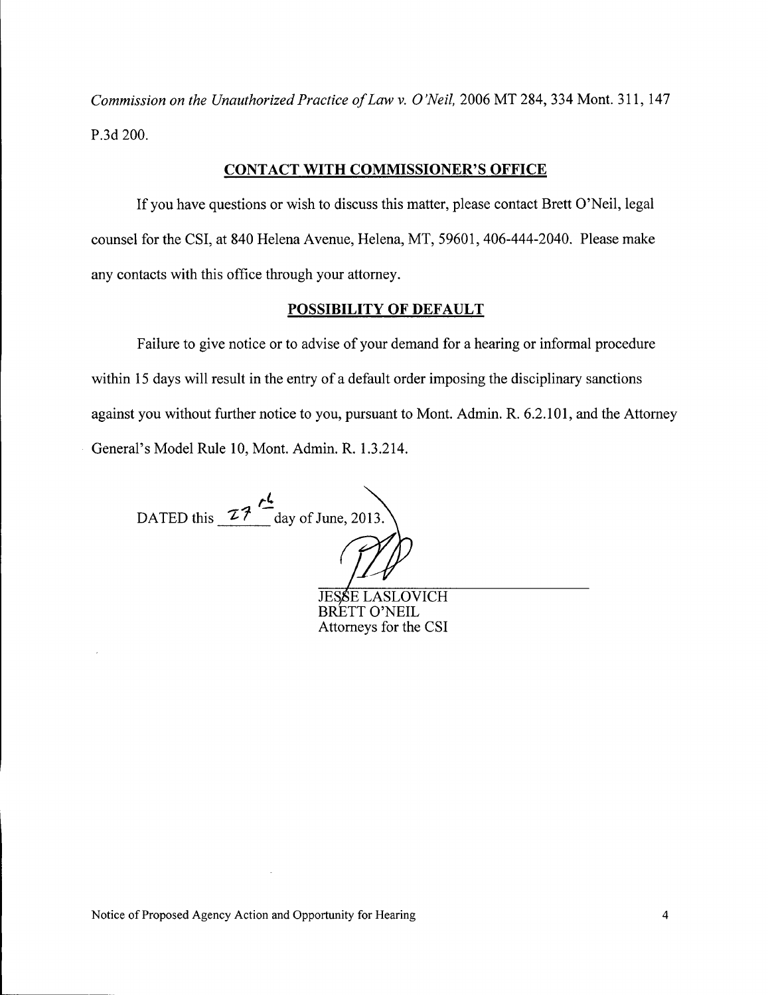*Commission on the Unauthorized Practice of Law* v. 0*'Neil,* <sup>2006</sup> MT 284, <sup>334</sup> Mont. 311, <sup>147</sup> P.3d 200.

# CONTACT WITH COMMISSIONER'S OFFICE

If you have questions or wish to discuss this matter, please contact Brett O'Neil, legal counsel for the CSI, at 840 Helena Avenue, Helena, MT, 59601, 406-444-2040. Please make any contacts with this office through your attorney.

# POSSIBILITY OF DEFAULT

Failure to give notice or to advise of your demand for a hearing or informal procedure within 15 days will result in the entry of a default order imposing the disciplinary sanctions against you without further notice to you, pursuant to Mont. Admin. R. 6.2.101, and the Attorney General's Model Rule 10, Mont. Admin. R. 1.3.214.

*rt.* DATED this  $27 -$ day of June, 2013.  $\mathbb{Z}$ 

**JESSE LASLOVICH** BRETT O'NEIL Attorneys for the CSI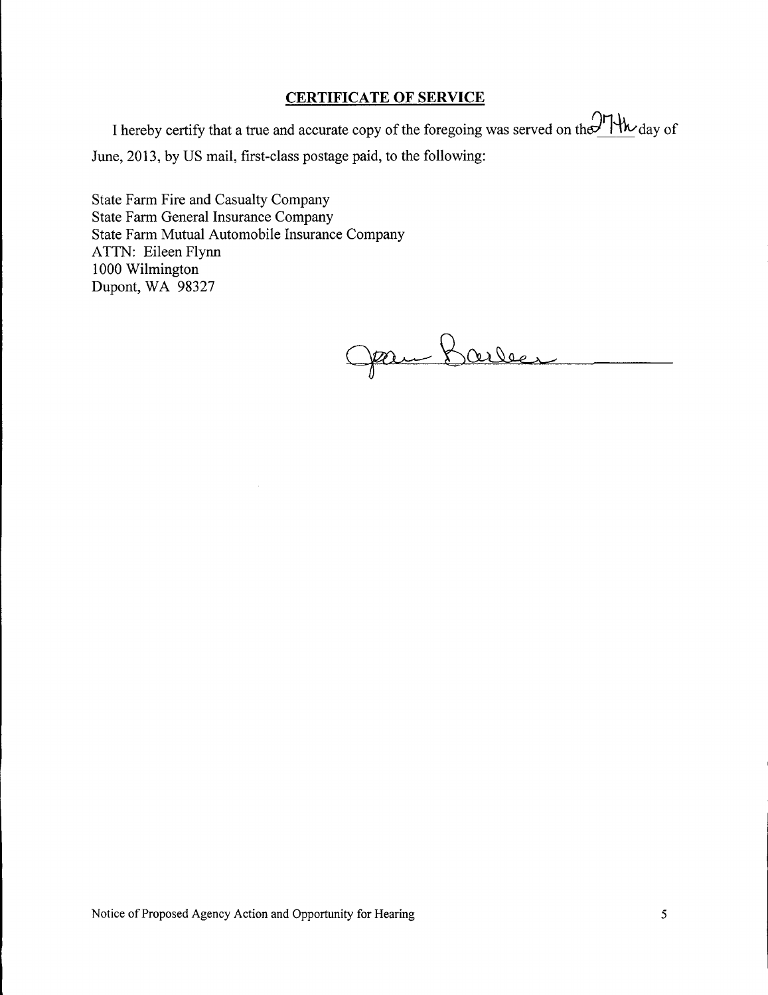# **CERTIFICATE OF SERVICE**

I hereby certify that a true and accurate copy of the foregoing was served on the 1<sup>1</sup>/<sup>1</sup>/<sup>1</sup>/<sup>1</sup>/<sub>2</sub> day of June, 2013, by US mail, first-class postage paid, to the following:

State Farm Fire and Casualty Company State Farm General Insurance Company State Farm Mutual Automobile Insurance Company ATTN: Eileen Flynn 1000 Wilmington Dupont, WA 98327

Jan Barber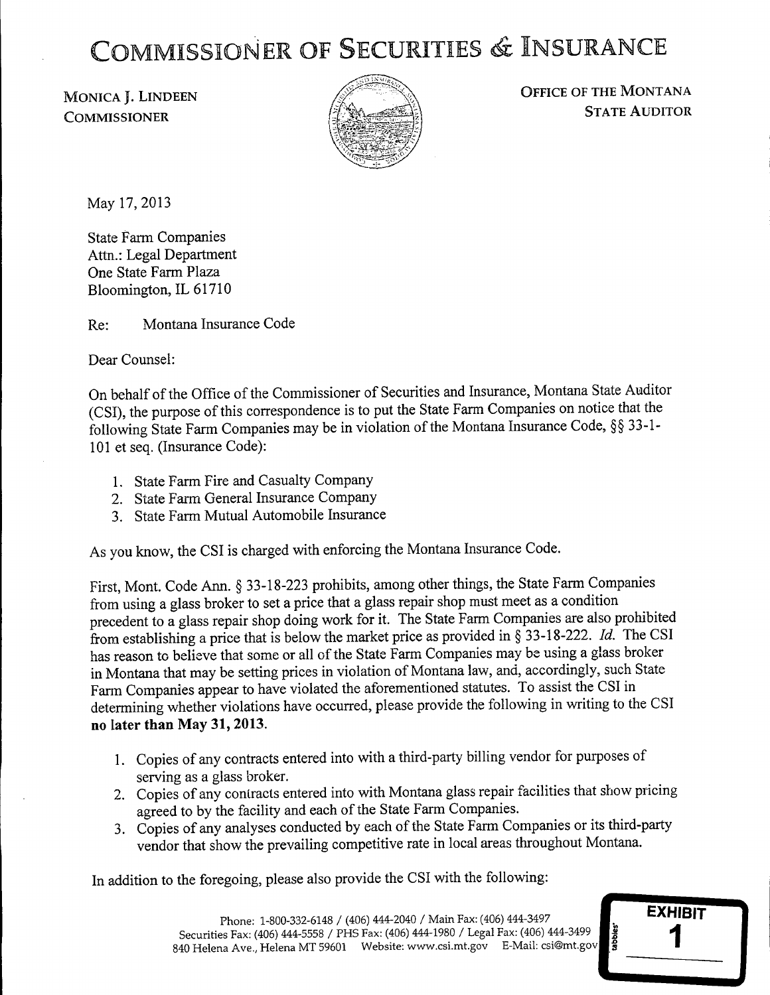# COMMISSIONER OF SECURITIES & INSURANCE

MONICA J. LINDEEN **COMMISSIONER** 



OFFICE OF THE MONTANA STATE AUDITOR

May 17,2013

State Farm Companies Attn.: Legal Department One State Farm Plaza Bloomington, IL 61710

Re: Montana Insurance Code

Dear Counsel:

On behalf of the Office of the Commissioner of Securities and Insurance, Montana State Auditor (CSI), the purpose of this correspondence is to put the State Farm Companies on notice that the following State Farm Companies may be in violation of the Montana Insurance Code, SS 33-1- 101 et seq. (Insurance Code):

- 1. State Farm Fire and Casualty Company
- 2. State Farm General Insurance Company
- 3. State Farm Mutual Automobile Insurance

As you know, the CSI is charged with enforcing the Montana Insurance Code.

First, Mont. Code Ann. § 33-18-223 prohibits, among other things, the State Farm Companies from using a glass broker to set a price that a glass repair shop must meet as a condition precedent to a glass repair shop doing work for it. The State Farm Companies are also prohibited from establishing a price that is below the market price as provided in § 33-18-222. *Id.* The CSI has reason to believe that some or all of the State Farm Companies may be using a glass broker in Montana that may be setting prices in violation of Montana law, and, accordingly, such State Farm Companies appear to have violated the aforementioned statutes. To assist the CSI in determining whether violations have occurred, please provide the following in writing to the CSI no later than May 31, 2013.

- 1. Copies of any contracts entered into with a third-party billing vendor for purposes of serving as a glass broker.
- 2. Copies of any contracts entered into with Montana glass repair facilities that show pricing agreed to by the facility and each of the State Farm Companies.
- 3. Copies of any analyses conducted by each of the State Farm Companies or its third-party vendor that show the prevailing competitive rate in local areas throughout Montana.

In addition to the foregoing, please also provide the CSI with the following:

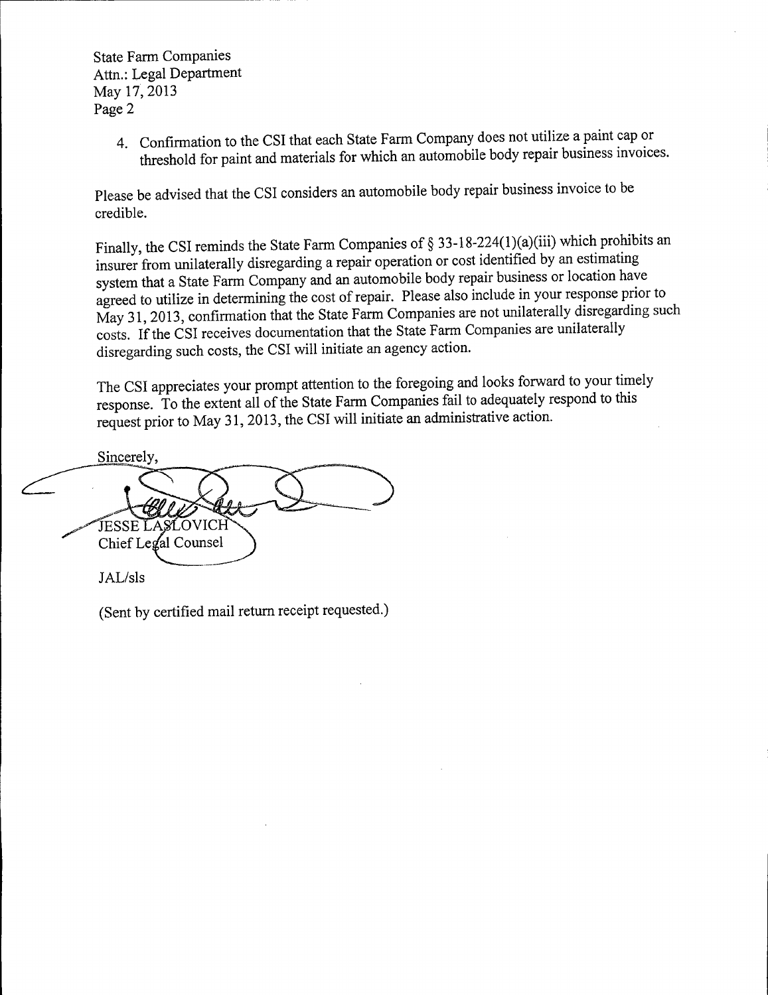State Farm Companies Attn.: Legal Department May 17, 2013 Page 2

> 4. Confirmation to the CSI that each State Farm Company does not utilize a paint cap or threshold for paint and materials for which an automobile body repair business invoices.

Please be advised that the CSI considers an automobile body repair business invoice to be credible.

Finally, the CSI reminds the State Farm Companies of § 33-18-224(1)(a)(iii) which prohibits an insurer from unilaterally disregarding a repair operation or cost identified by an estimating system that a State Farm Company and an automobile body repair business or location have agreed to utilize in determining the cost of repair. Please also include in your response prior to May 31, 2013, confirmation that the State Farm Companies are not unilaterally disregarding such costs. If the CSI receives documentation that the State Farm Companies are unilaterally disregarding such costs, the CSI will initiate an agency action.

The CSI appreciates your prompt attention to the foregoing and looks forward to your timely response. To the extent all of the State Farm Companies fail to adequately respond to this request prior to May 31, 2013, the CSI will initiate an administrative action.

Sincerely, JESSE LASLOVICH Chief Legal Counsel JAL/sls

(Sent by certified mail return receipt requested.)